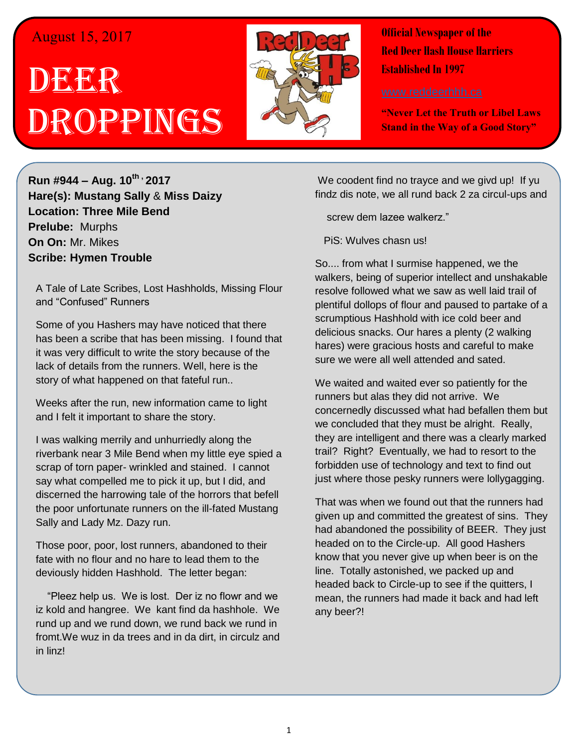## August 15, 2017

## D**BEER** Droppings



**Official Newspaper of the Red Deer Hash House Harriers Established In 1997** 

**"Never Let the Truth or Libel Laws Stand in the Way of a Good Story"**

**Run #944 – Aug. 10th , 2017 Hare(s): Mustang Sally** & **Miss Daizy Location: Three Mile Bend Prelube:** Murphs **On On:** Mr. Mikes **Scribe: Hymen Trouble**

A Tale of Late Scribes, Lost Hashholds, Missing Flour and "Confused" Runners

Some of you Hashers may have noticed that there has been a scribe that has been missing. I found that it was very difficult to write the story because of the lack of details from the runners. Well, here is the story of what happened on that fateful run..

Weeks after the run, new information came to light and I felt it important to share the story.

I was walking merrily and unhurriedly along the riverbank near 3 Mile Bend when my little eye spied a scrap of torn paper- wrinkled and stained. I cannot say what compelled me to pick it up, but I did, and discerned the harrowing tale of the horrors that befell the poor unfortunate runners on the ill-fated Mustang Sally and Lady Mz. Dazy run.

Those poor, poor, lost runners, abandoned to their fate with no flour and no hare to lead them to the deviously hidden Hashhold. The letter began:

 "Pleez help us. We is lost. Der iz no flowr and we iz kold and hangree. We kant find da hashhole. We rund up and we rund down, we rund back we rund in fromt.We wuz in da trees and in da dirt, in circulz and in linz!

We coodent find no trayce and we givd up! If yu findz dis note, we all rund back 2 za circul-ups and

screw dem lazee walkerz."

PiS: Wulves chasn us!

So.... from what I surmise happened, we the walkers, being of superior intellect and unshakable resolve followed what we saw as well laid trail of plentiful dollops of flour and paused to partake of a scrumptious Hashhold with ice cold beer and delicious snacks. Our hares a plenty (2 walking hares) were gracious hosts and careful to make sure we were all well attended and sated.

We waited and waited ever so patiently for the runners but alas they did not arrive. We concernedly discussed what had befallen them but we concluded that they must be alright. Really, they are intelligent and there was a clearly marked trail? Right? Eventually, we had to resort to the forbidden use of technology and text to find out just where those pesky runners were lollygagging.

That was when we found out that the runners had given up and committed the greatest of sins. They had abandoned the possibility of BEER. They just headed on to the Circle-up. All good Hashers know that you never give up when beer is on the line. Totally astonished, we packed up and headed back to Circle-up to see if the quitters, I mean, the runners had made it back and had left any beer?!